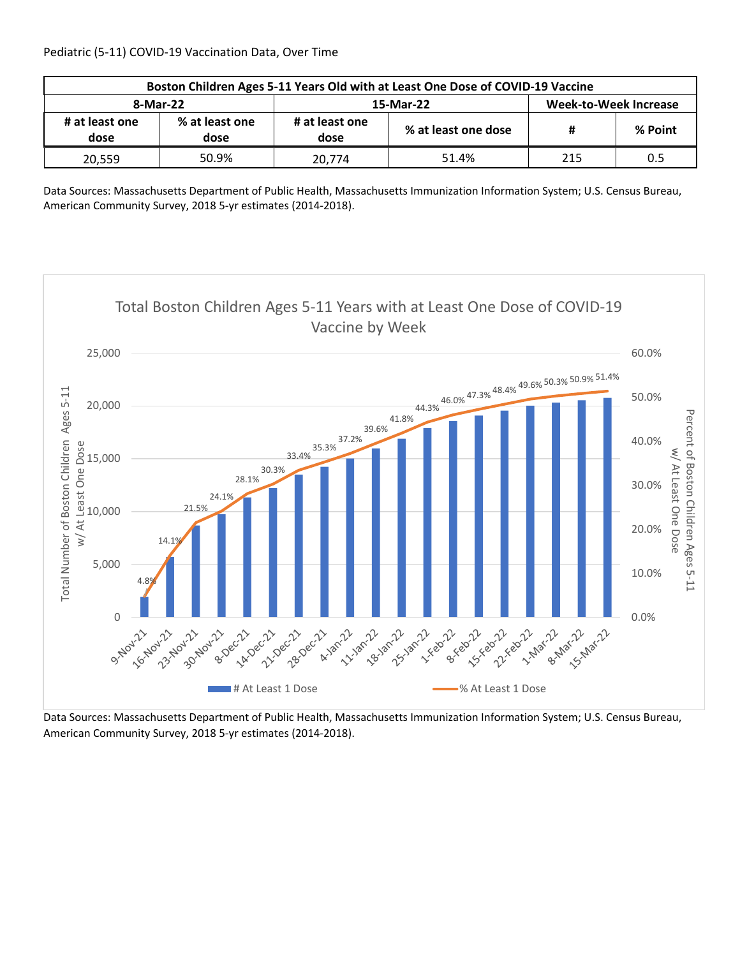| Boston Children Ages 5-11 Years Old with at Least One Dose of COVID-19 Vaccine |                        |                        |                     |                              |         |  |  |
|--------------------------------------------------------------------------------|------------------------|------------------------|---------------------|------------------------------|---------|--|--|
| 8-Mar-22                                                                       |                        |                        | 15-Mar-22           | <b>Week-to-Week Increase</b> |         |  |  |
| # at least one<br>dose                                                         | % at least one<br>dose | # at least one<br>dose | % at least one dose | #                            | % Point |  |  |
| 20.559                                                                         | 50.9%                  | 20.774                 | 51.4%               | 215                          | 0.5     |  |  |

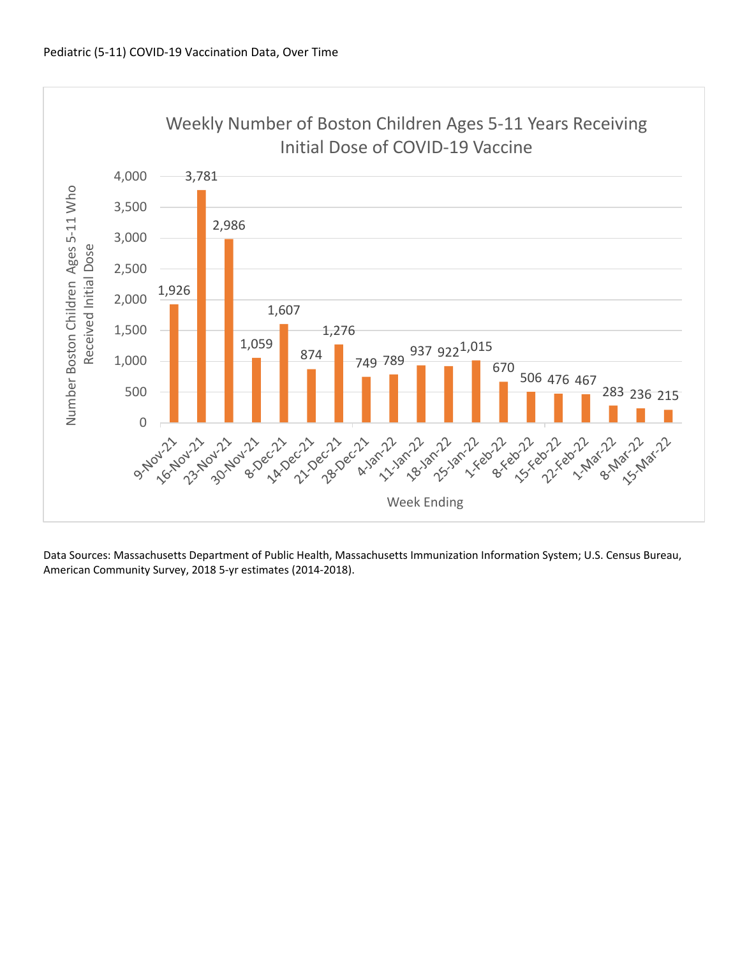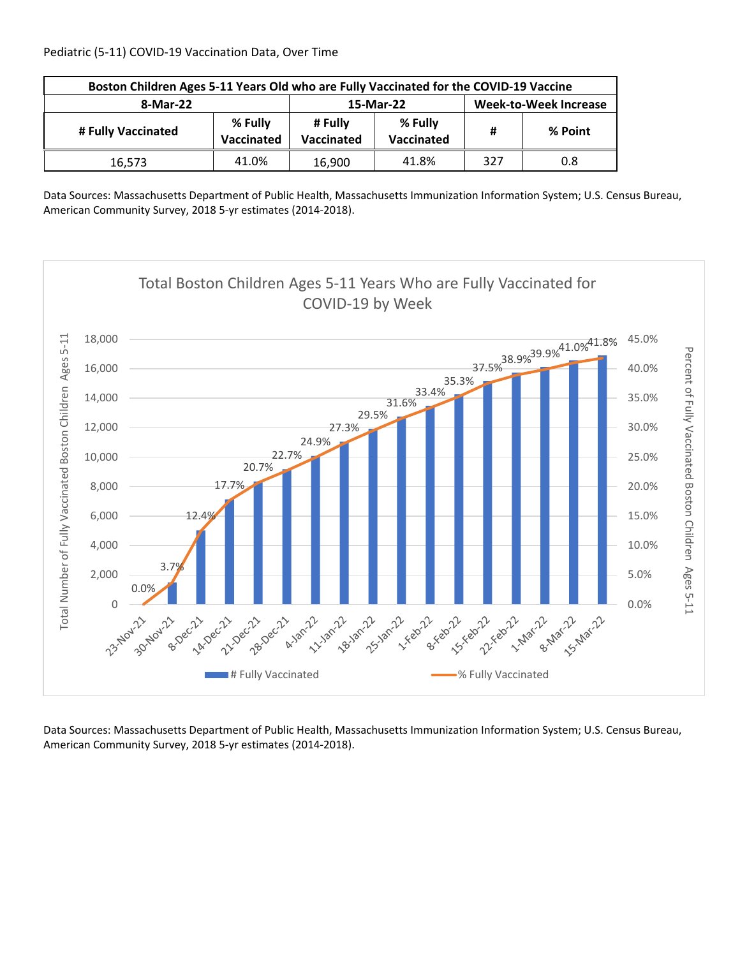| Boston Children Ages 5-11 Years Old who are Fully Vaccinated for the COVID-19 Vaccine |                       |                       |                              |     |         |  |
|---------------------------------------------------------------------------------------|-----------------------|-----------------------|------------------------------|-----|---------|--|
| 8-Mar-22                                                                              |                       | 15-Mar-22             | <b>Week-to-Week Increase</b> |     |         |  |
| # Fully Vaccinated                                                                    | % Fully<br>Vaccinated | # Fully<br>Vaccinated | % Fully<br>Vaccinated        | Ħ   | % Point |  |
| 16,573                                                                                | 41.0%                 | 16,900                | 41.8%                        | 327 | 0.8     |  |

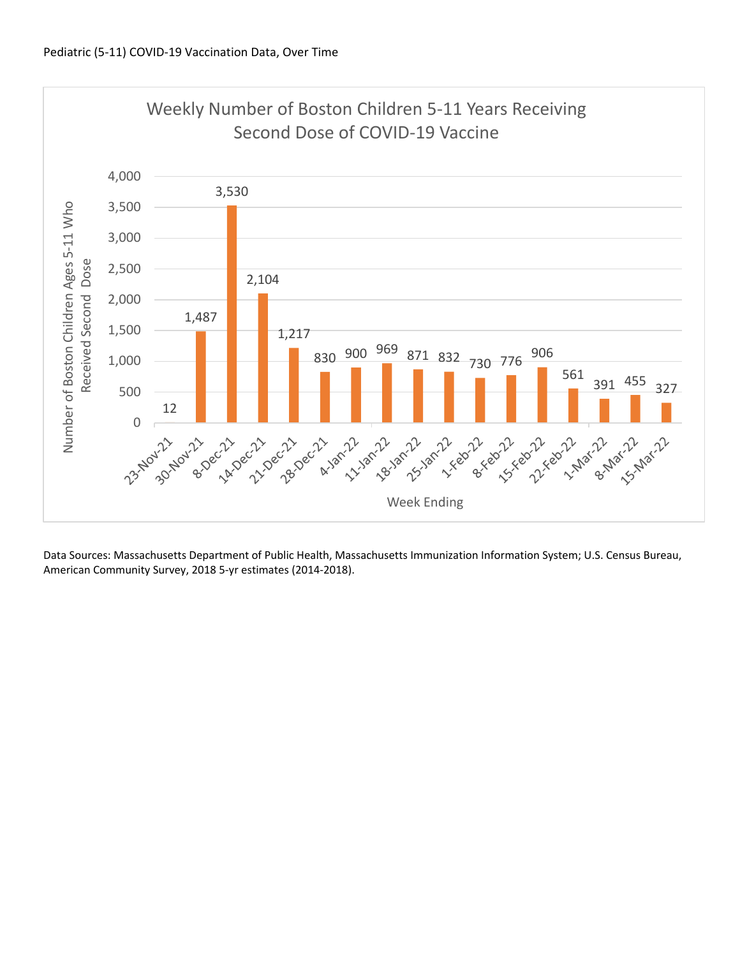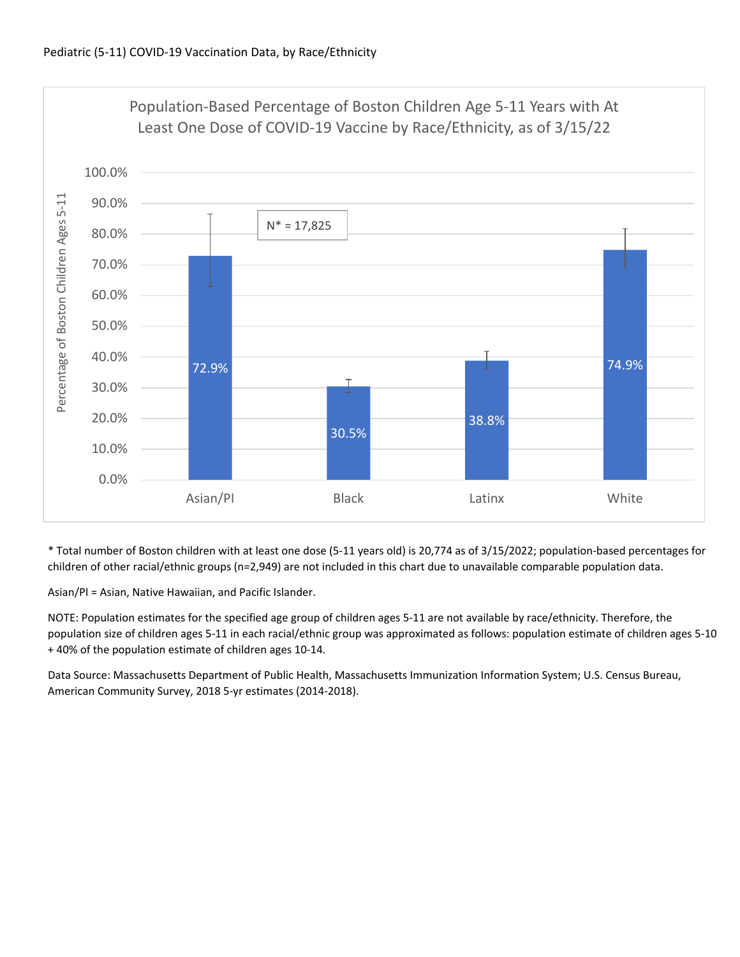

\* Total number of Boston children with at least one dose (5‐11 years old) is 20,774 as of 3/15/2022; population‐based percentages for children of other racial/ethnic groups (n=2,949) are not included in this chart due to unavailable comparable population data.

Asian/PI = Asian, Native Hawaiian, and Pacific Islander.

NOTE: Population estimates for the specified age group of children ages 5‐11 are not available by race/ethnicity. Therefore, the population size of children ages 5‐11 in each racial/ethnic group was approximated as follows: population estimate of children ages 5‐10 + 40% of the population estimate of children ages 10‐14.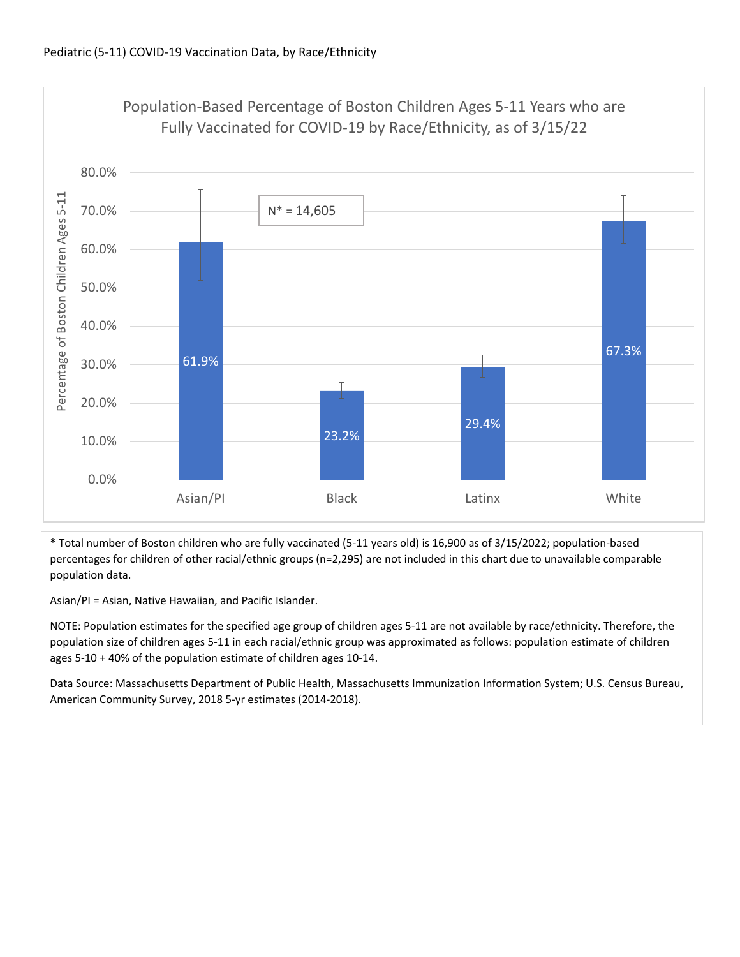

\* Total number of Boston children who are fully vaccinated (5‐11 years old) is 16,900 as of 3/15/2022; population‐based percentages for children of other racial/ethnic groups (n=2,295) are not included in this chart due to unavailable comparable population data.

Asian/PI = Asian, Native Hawaiian, and Pacific Islander.

NOTE: Population estimates for the specified age group of children ages 5‐11 are not available by race/ethnicity. Therefore, the population size of children ages 5‐11 in each racial/ethnic group was approximated as follows: population estimate of children ages 5‐10 + 40% of the population estimate of children ages 10‐14.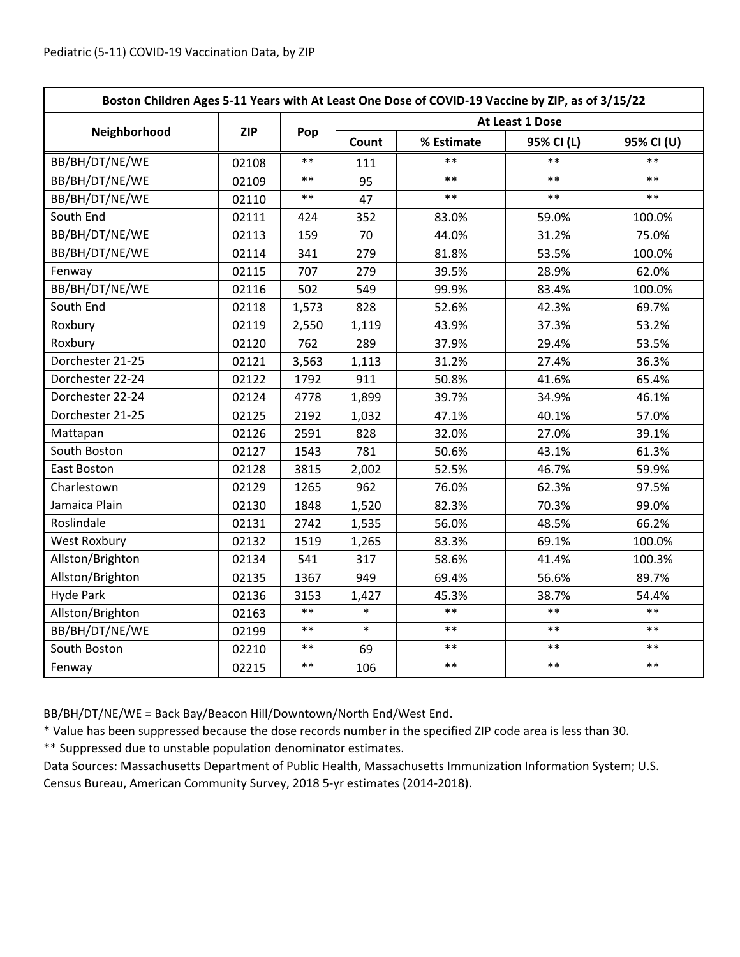| Boston Children Ages 5-11 Years with At Least One Dose of COVID-19 Vaccine by ZIP, as of 3/15/22 |            |       |                 |            |            |            |  |
|--------------------------------------------------------------------------------------------------|------------|-------|-----------------|------------|------------|------------|--|
|                                                                                                  | <b>ZIP</b> | Pop   | At Least 1 Dose |            |            |            |  |
| Neighborhood                                                                                     |            |       | Count           | % Estimate | 95% CI (L) | 95% CI (U) |  |
| BB/BH/DT/NE/WE                                                                                   | 02108      | $***$ | 111             | $\ast\ast$ | $***$      | $**$       |  |
| BB/BH/DT/NE/WE                                                                                   | 02109      | $***$ | 95              | $**$       | $**$       | $***$      |  |
| BB/BH/DT/NE/WE                                                                                   | 02110      | $***$ | 47              | $**$       | $**$       | $***$      |  |
| South End                                                                                        | 02111      | 424   | 352             | 83.0%      | 59.0%      | 100.0%     |  |
| BB/BH/DT/NE/WE                                                                                   | 02113      | 159   | 70              | 44.0%      | 31.2%      | 75.0%      |  |
| BB/BH/DT/NE/WE                                                                                   | 02114      | 341   | 279             | 81.8%      | 53.5%      | 100.0%     |  |
| Fenway                                                                                           | 02115      | 707   | 279             | 39.5%      | 28.9%      | 62.0%      |  |
| BB/BH/DT/NE/WE                                                                                   | 02116      | 502   | 549             | 99.9%      | 83.4%      | 100.0%     |  |
| South End                                                                                        | 02118      | 1,573 | 828             | 52.6%      | 42.3%      | 69.7%      |  |
| Roxbury                                                                                          | 02119      | 2,550 | 1,119           | 43.9%      | 37.3%      | 53.2%      |  |
| Roxbury                                                                                          | 02120      | 762   | 289             | 37.9%      | 29.4%      | 53.5%      |  |
| Dorchester 21-25                                                                                 | 02121      | 3,563 | 1,113           | 31.2%      | 27.4%      | 36.3%      |  |
| Dorchester 22-24                                                                                 | 02122      | 1792  | 911             | 50.8%      | 41.6%      | 65.4%      |  |
| Dorchester 22-24                                                                                 | 02124      | 4778  | 1,899           | 39.7%      | 34.9%      | 46.1%      |  |
| Dorchester 21-25                                                                                 | 02125      | 2192  | 1,032           | 47.1%      | 40.1%      | 57.0%      |  |
| Mattapan                                                                                         | 02126      | 2591  | 828             | 32.0%      | 27.0%      | 39.1%      |  |
| South Boston                                                                                     | 02127      | 1543  | 781             | 50.6%      | 43.1%      | 61.3%      |  |
| East Boston                                                                                      | 02128      | 3815  | 2,002           | 52.5%      | 46.7%      | 59.9%      |  |
| Charlestown                                                                                      | 02129      | 1265  | 962             | 76.0%      | 62.3%      | 97.5%      |  |
| Jamaica Plain                                                                                    | 02130      | 1848  | 1,520           | 82.3%      | 70.3%      | 99.0%      |  |
| Roslindale                                                                                       | 02131      | 2742  | 1,535           | 56.0%      | 48.5%      | 66.2%      |  |
| <b>West Roxbury</b>                                                                              | 02132      | 1519  | 1,265           | 83.3%      | 69.1%      | 100.0%     |  |
| Allston/Brighton                                                                                 | 02134      | 541   | 317             | 58.6%      | 41.4%      | 100.3%     |  |
| Allston/Brighton                                                                                 | 02135      | 1367  | 949             | 69.4%      | 56.6%      | 89.7%      |  |
| <b>Hyde Park</b>                                                                                 | 02136      | 3153  | 1,427           | 45.3%      | 38.7%      | 54.4%      |  |
| Allston/Brighton                                                                                 | 02163      | $***$ | $\ast$          | $***$      | $***$      | $**$       |  |
| BB/BH/DT/NE/WE                                                                                   | 02199      | $***$ | $\ast$          | $***$      | $***$      | $**$       |  |
| South Boston                                                                                     | 02210      | $***$ | 69              | $***$      | $***$      | $***$      |  |
| Fenway                                                                                           | 02215      | $***$ | 106             | $***$      | $***$      | $***$      |  |

BB/BH/DT/NE/WE = Back Bay/Beacon Hill/Downtown/North End/West End.

\* Value has been suppressed because the dose records number in the specified ZIP code area is less than 30.

\*\* Suppressed due to unstable population denominator estimates.